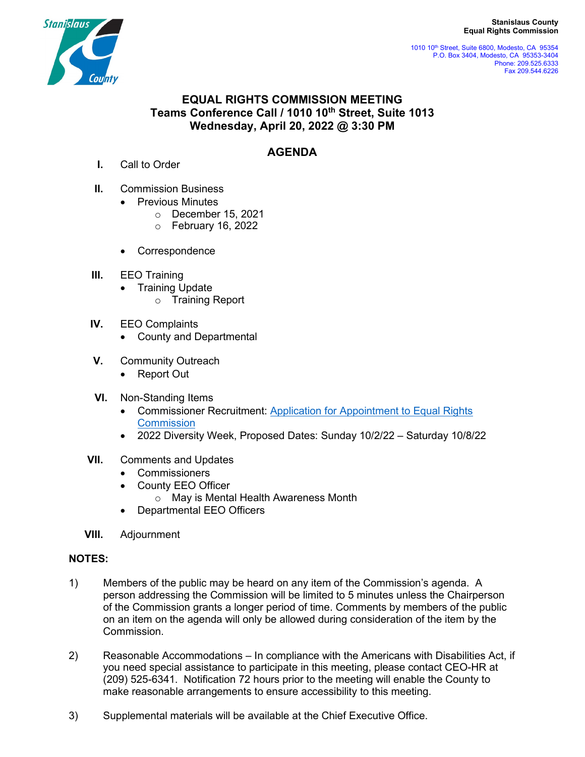**Stanislaus County Equal Rights Commission**



 1010 10th Street, Suite 6800, Modesto, CA 95354 P.O. Box 3404, Modesto, CA 95353-3404 Phone: 209.525.6333 Fax 209.544.6226

## **EQUAL RIGHTS COMMISSION MEETING Teams Conference Call / 1010 10th Street, Suite 1013 Wednesday, April 20, 2022 @ 3:30 PM**

## **AGENDA**

- **I.** Call to Order
- **II.** Commission Business
	- Previous Minutes
		- o December 15, 2021
		- o February 16, 2022
	- Correspondence
- **III.** EEO Training
	- Training Update
		- o Training Report
- **IV.** EEO Complaints
	- County and Departmental
- **V.** Community Outreach
	- Report Out
- **VI.** Non-Standing Items
	- Commissioner Recruitment: [Application for Appointment to](http://www.stancounty.com/bos/b&c/on-line-application.pdf) Equal Rights **[Commission](http://www.stancounty.com/bos/b&c/on-line-application.pdf)**
	- 2022 Diversity Week, Proposed Dates: Sunday 10/2/22 Saturday 10/8/22
- **VII.** Comments and Updates
	- Commissioners
	- County EEO Officer
		- o May is Mental Health Awareness Month
	- Departmental EEO Officers
- **VIII.** Adjournment

## **NOTES:**

- 1) Members of the public may be heard on any item of the Commission's agenda. A person addressing the Commission will be limited to 5 minutes unless the Chairperson of the Commission grants a longer period of time. Comments by members of the public on an item on the agenda will only be allowed during consideration of the item by the Commission.
- 2) Reasonable Accommodations In compliance with the Americans with Disabilities Act, if you need special assistance to participate in this meeting, please contact CEO-HR at (209) 525-6341. Notification 72 hours prior to the meeting will enable the County to make reasonable arrangements to ensure accessibility to this meeting.
- 3) Supplemental materials will be available at the Chief Executive Office.